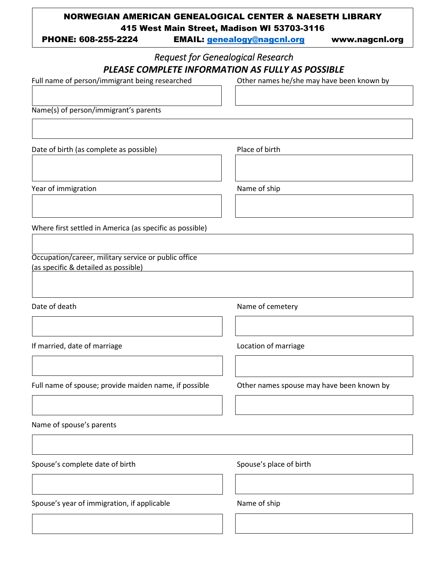## NORWEGIAN AMERICAN GENEALOGICAL CENTER & NAESETH LIBRARY 415 West Main Street, Madison WI 53703-3116

PHONE: 608-255-2224 EMAIL: [genealogy@nagcnl.org](mailto:genealogy@nagcnl.org) www.nagcnl.org

## *Request for Genealogical Research PLEASE COMPLETE INFORMATION AS FULLY AS POSSIBLE*

Full name of person/immigrant being researched

Other names he/she may have been known by

Name(s) of person/immigrant's parents

Date of birth (as complete as possible)

Place of birth

Year of immigration

Name of ship

Where first settled in America (as specific as possible)

Occupation/career, military service or public office (as specific & detailed as possible)

Date of death

Name of cemetery

If married, date of marriage

Location of marriage

Full name of spouse; provide maiden name, if possible

Other names spouse may have been known by

Name of spouse's parents

Spouse's complete date of birth

Spouse's place of birth

Spouse's year of immigration, if applicable

Name of ship